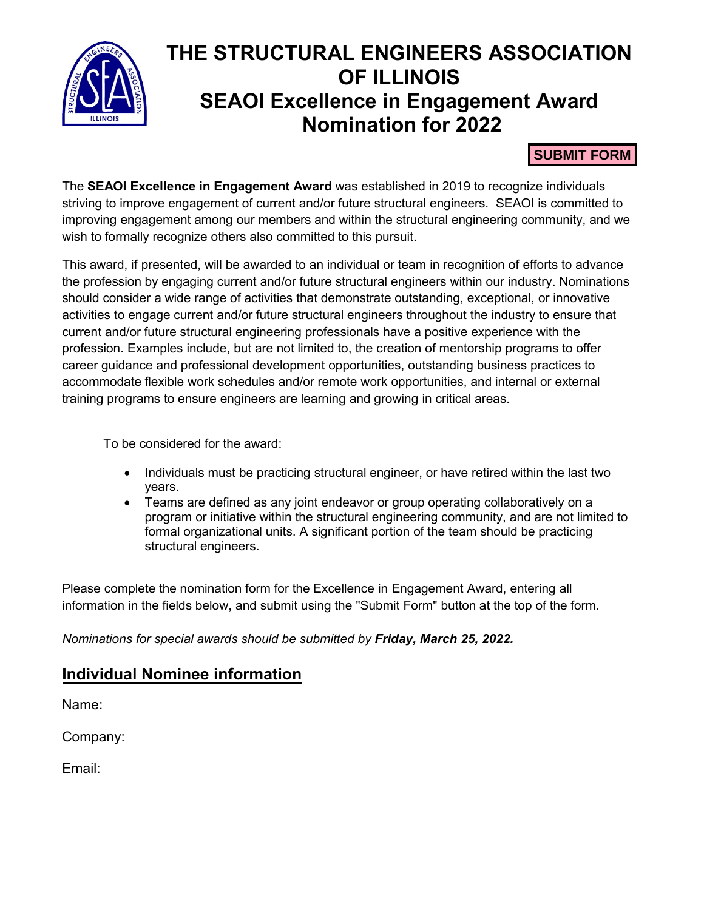

# **THE STRUCTURAL ENGINEERS ASSOCIATION OF ILLINOIS SEAOI Excellence in Engagement Award Nomination for 2022**

#### **SUBMIT FORM**

The **SEAOI Excellence in Engagement Award** was established in 2019 to recognize individuals striving to improve engagement of current and/or future structural engineers. SEAOI is committed to improving engagement among our members and within the structural engineering community, and we wish to formally recognize others also committed to this pursuit.

This award, if presented, will be awarded to an individual or team in recognition of efforts to advance the profession by engaging current and/or future structural engineers within our industry. Nominations should consider a wide range of activities that demonstrate outstanding, exceptional, or innovative activities to engage current and/or future structural engineers throughout the industry to ensure that current and/or future structural engineering professionals have a positive experience with the profession. Examples include, but are not limited to, the creation of mentorship programs to offer career guidance and professional development opportunities, outstanding business practices to accommodate flexible work schedules and/or remote work opportunities, and internal or external training programs to ensure engineers are learning and growing in critical areas.

To be considered for the award:

- Individuals must be practicing structural engineer, or have retired within the last two years.
- Teams are defined as any joint endeavor or group operating collaboratively on a program or initiative within the structural engineering community, and are not limited to formal organizational units. A significant portion of the team should be practicing structural engineers.

Please complete the nomination form for the Excellence in Engagement Award, entering all information in the fields below, and submit using the "Submit Form" button at the top of the form.

*Nominations for special awards should be submitted by Friday, March 25, 2022.*

### **Individual Nominee information**

Name:

Company:

Email: